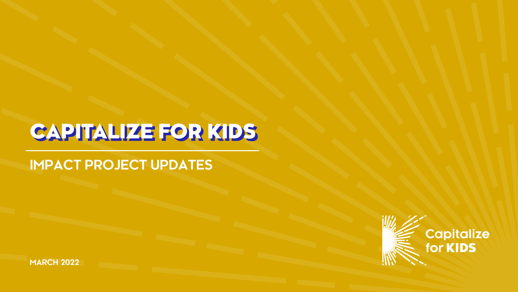# CAPITALIZE FOR KIDS

### **IMPACT PROJECT UPDATES**



**MARCH 2022**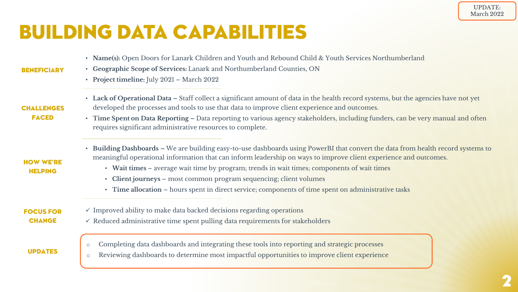### BUILDING DATA CAPABILITIES

| <b>BENEFICIARY</b>                 | • Name(s): Open Doors for Lanark Children and Youth and Rebound Child & Youth Services Northumberland<br>• Geographic Scope of Services: Lanark and Northumberland Counties, ON<br>• Project timeline: July 2021 - March 2022                                                                                                                                                                                                                                                                                                    |  |  |  |  |
|------------------------------------|----------------------------------------------------------------------------------------------------------------------------------------------------------------------------------------------------------------------------------------------------------------------------------------------------------------------------------------------------------------------------------------------------------------------------------------------------------------------------------------------------------------------------------|--|--|--|--|
| <b>CHALLENGES</b><br><b>FACED</b>  | • Lack of Operational Data - Staff collect a significant amount of data in the health record systems, but the agencies have not yet<br>developed the processes and tools to use that data to improve client experience and outcomes.<br>• Time Spent on Data Reporting – Data reporting to various agency stakeholders, including funders, can be very manual and often<br>requires significant administrative resources to complete.                                                                                            |  |  |  |  |
| <b>HOW WE'RE</b><br><b>HELPING</b> | • Building Dashboards - We are building easy-to-use dashboards using PowerBI that convert the data from health record systems to<br>meaningful operational information that can inform leadership on ways to improve client experience and outcomes.<br>• Wait times – average wait time by program; trends in wait times; components of wait times<br>• Client journeys - most common program sequencing; client volumes<br>• Time allocation – hours spent in direct service; components of time spent on administrative tasks |  |  |  |  |
| <b>FOCUS FOR</b><br><b>CHANGE</b>  | $\checkmark$ Improved ability to make data backed decisions regarding operations<br>$\checkmark$ Reduced administrative time spent pulling data requirements for stakeholders                                                                                                                                                                                                                                                                                                                                                    |  |  |  |  |
| <b>UPDATES</b>                     | Completing data dashboards and integrating these tools into reporting and strategic processes<br>$\circ$<br>Reviewing dashboards to determine most impactful opportunities to improve client experience                                                                                                                                                                                                                                                                                                                          |  |  |  |  |

UPDATE: March 2022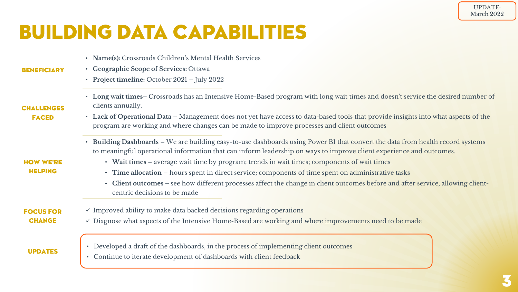# BUILDING DATA CAPABILITIES

| • Name(s): Crossroads Children's Mental Health Services |  |
|---------------------------------------------------------|--|
|---------------------------------------------------------|--|

- **Geographic Scope of Services:** Ottawa
	- **Project timeline:** October 2021 July 2022
	- **Long wait times–** Crossroads has an Intensive Home-Based program with long wait times and doesn't service the desired number of clients annually.
- **Lack of Operational Data –** Management does not yet have access to data-based tools that provide insights into what aspects of the program are working and where changes can be made to improve processes and client outcomes
	- **Building Dashboards –** We are building easy-to-use dashboards using Power BI that convert the data from health record systems to meaningful operational information that can inform leadership on ways to improve client experience and outcomes.
		- **Wait times** average wait time by program; trends in wait times; components of wait times
		- **Time allocation** hours spent in direct service; components of time spent on administrative tasks
		- **Client outcomes –** see how different processes affect the change in client outcomes before and after service, allowing clientcentric decisions to be made
- $\checkmark$  Improved ability to make data backed decisions regarding operations
- $\checkmark$  Diagnose what aspects of the Intensive Home-Based are working and where improvements need to be made

UPDATES

FOCUS FOR **CHANGE** 

- Developed a draft of the dashboards, in the process of implementing client outcomes
- Continue to iterate development of dashboards with client feedback

#### CHALLENGES **FACED**

**BENEFICIARY** 

HOW WE'RE **HELPING**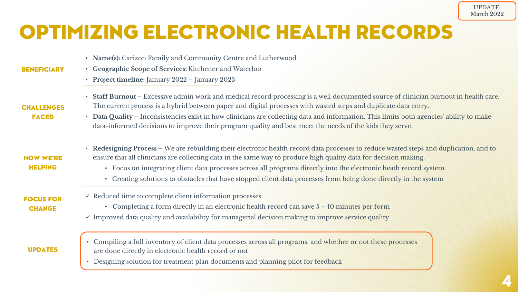# OPTIMIZING ELECTRONIC HEALTH RECORDS

|  |  |  |  |  | • Name(s): Carizon Family and Community Centre and Lutherwood |  |
|--|--|--|--|--|---------------------------------------------------------------|--|
|--|--|--|--|--|---------------------------------------------------------------|--|

- **Geographic Scope of Services:** Kitchener and Waterloo
	- **Project timeline:** January 2022 January 2023

### • **Staff Burnout –** Excessive admin work and medical record processing is a well documented source of clinician burnout in health care. The current process is a hybrid between paper and digital processes with wasted steps and duplicate data entry.

- **Data Quality –** Inconsistencies exist in how clinicians are collecting data and information. This limits both agencies' ability to make data-informed decisions to improve their program quality and best meet the needs of the kids they serve.
- **Redesigning Process –** We are rebuilding their electronic health record data processes to reduce wasted steps and duplication, and to ensure that all clinicians are collecting data in the same way to produce high quality data for decision making.
	- Focus on integrating client data processes across all programs directly into the electronic heath record system
	- Creating solutions to obstacles that have stopped client data processes from being done directly in the system

#### FOCUS FOR **CHANGE**

HOW WE'RE HELPING

**BENEFICIARY** 

**CHALLENGES FACED** 

- $\checkmark$  Reduced time to complete client information processes
	- Completing a form directly in an electronic health record can save  $5 10$  minutes per form
- $\checkmark$  Improved data quality and availability for managerial decision making to improve service quality

### UPDATES

- Compiling a full inventory of client data processes across all programs, and whether or not these processes are done directly in electronic health record or not
- Designing solution for treatment plan documents and planning pilot for feedback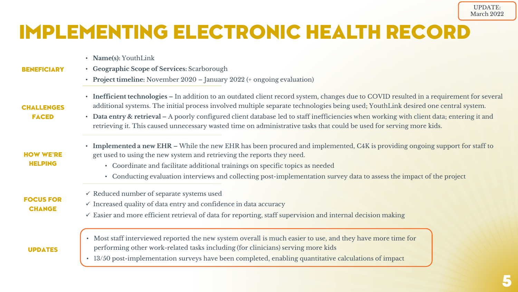# IMPLEMENTING ELECTRONIC HEALTH RECORD

- **Name(s):** YouthLink
- **BENEFICIARY**
- **Geographic Scope of Services:** Scarborough
- **Project timeline:** November 2020 January 2022 (+ ongoing evaluation)
- **Inefficient technologies –** In addition to an outdated client record system, changes due to COVID resulted in a requirement for several additional systems. The initial process involved multiple separate technologies being used; YouthLink desired one central system.
- **Data entry & retrieval –** A poorly configured client database led to staff inefficiencies when working with client data; entering it and retrieving it. This caused unnecessary wasted time on administrative tasks that could be used for serving more kids.
	- **Implemented a new EHR –** While the new EHR has been procured and implemented, C4K is providing ongoing support for staff to get used to using the new system and retrieving the reports they need.
		- Coordinate and facilitate additional trainings on specific topics as needed
		- Conducting evaluation interviews and collecting post-implementation survey data to assess the impact of the project
- $\checkmark$  Reduced number of separate systems used
- $\checkmark$  Increased quality of data entry and confidence in data accuracy
- $\checkmark$  Easier and more efficient retrieval of data for reporting, staff supervision and internal decision making
- Most staff interviewed reported the new system overall is much easier to use, and they have more time for performing other work-related tasks including (for clinicians) serving more kids
- 13/50 post-implementation surveys have been completed, enabling quantitative calculations of impact

**CHALLENGES** FACED

#### HOW WE'RE HELPING

FOCUS FOR **CHANGE** 

### UPDATES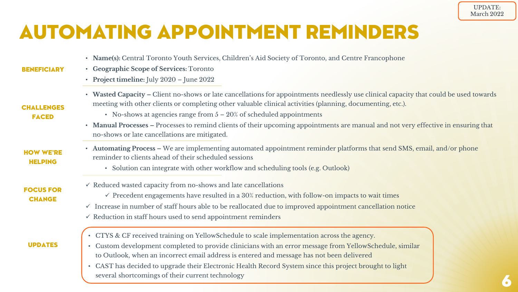# AUTOMATING APPOINTMENT REMINDERS

| • Name(s): Central Toronto Youth Services, Children's Aid Society of Toronto, and Centre Francophone<br>• Geographic Scope of Services: Toronto<br>• Project timeline: July $2020$ – June $2022$                                                                                                                                                                                                                                                                                                                      |
|-----------------------------------------------------------------------------------------------------------------------------------------------------------------------------------------------------------------------------------------------------------------------------------------------------------------------------------------------------------------------------------------------------------------------------------------------------------------------------------------------------------------------|
| • Wasted Capacity – Client no-shows or late cancellations for appointments needlessly use clinical capacity that could be used towards<br>meeting with other clients or completing other valuable clinical activities (planning, documenting, etc.).<br>• No-shows at agencies range from $5 - 20\%$ of scheduled appointments<br>• Manual Processes – Processes to remind clients of their upcoming appointments are manual and not very effective in ensuring that<br>no-shows or late cancellations are mitigated. |
| • Automating Process – We are implementing automated appointment reminder platforms that send SMS, email, and/or phone<br>reminder to clients ahead of their scheduled sessions<br>• Solution can integrate with other workflow and scheduling tools (e.g. Outlook)                                                                                                                                                                                                                                                   |
| $\checkmark$ Reduced wasted capacity from no-shows and late cancellations<br>$\checkmark$ Precedent engagements have resulted in a 30% reduction, with follow-on impacts to wait times<br>$\checkmark$ Increase in number of staff hours able to be reallocated due to improved appointment cancellation notice<br>$\checkmark$ Reduction in staff hours used to send appointment reminders                                                                                                                           |
|                                                                                                                                                                                                                                                                                                                                                                                                                                                                                                                       |

• CTYS & CF received training on YellowSchedule to scale implementation across the agency.

UPDATES

- Custom development completed to provide clinicians with an error message from YellowSchedule, similar to Outlook, when an incorrect email address is entered and message has not been delivered
- CAST has decided to upgrade their Electronic Health Record System since this project brought to light several shortcomings of their current technology

6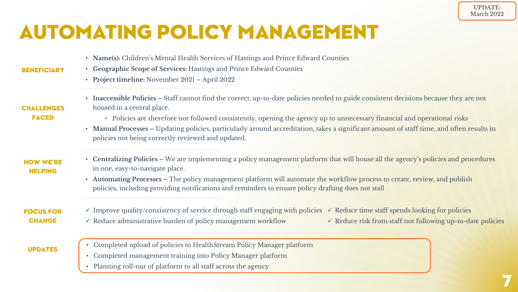7

# AUTOMATING POLICY MANAGEMENT

- **Name(s):** Children's Mental Health Services of Hastings and Prince Edward Counties
- **Geographic Scope of Services:** Hastings and Prince Edward Counties
	- **Project timeline:** November 2021 April 2022
- **Inaccessible Policies –** Staff cannot find the correct, up-to-date policies needed to guide consistent decisions because they are not housed in a central place.
	- Policies are therefore not followed consistently, opening the agency up to unnecessary financial and operational risks
- **Manual Processes –** Updating policies, particularly around accreditation, takes a significant amount of staff time, and often results in policies not being correctly reviewed and updated.
- **Centralizing Policies –** We are implementing a policy management platform that will house all the agency's policies and procedures in one, easy-to-navigate place.
	- **Automating Processes –** The policy management platform will automate the workflow process to create, review, and publish policies, including providing notifications and reminders to ensure policy drafting does not stall
- FOCUS FOR **CHANGE** 
	- UPDATES

 $\checkmark$  Improve quality/consistency of service through staff engaging with policies  $\checkmark$  Reduce time staff spends looking for policies

 $\checkmark$  Reduce administrative burden of policy management workflow

 $\checkmark$  Reduce risk from staff not following up-to-date policies

- Completed upload of policies to HealthStream Policy Manager platform
- Completed management training into Policy Manager platform
- Planning roll-out of platform to all staff across the agency

### **CHALLENGES**

**BENEFICIARY** 

FACED

HOW WE'RE HELPING